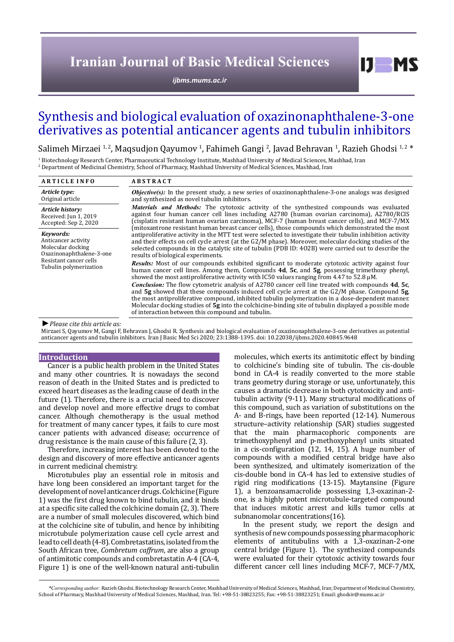# **Iranian Journal of Basic Medical Sciences**

*[ijbms.mums.ac.ir](http://ijbms.mums.ac.ir)*

# Synthesis and biological evaluation of oxazinonaphthalene-3-one derivatives as potential anticancer agents and tubulin inhibitors

Salimeh Mirzaei 1,2, Maqsudjon Qayumov 1, Fahimeh Gangi 2, Javad Behravan 1, Razieh Ghodsi 1,2 \*

<sup>1</sup> Biotechnology Research Center, Pharmaceutical Technology Institute, Mashhad University of Medical Sciences, Mashhad, Iran 2 Department of Medicinal Chemistry, School of Pharmacy, Mashhad University of Medical Sciences, Mashhad, Iran

| <b>ARTICLE INFO</b>                                                                                                                   | <b>ABSTRACT</b>                                                                                                                                                                                                                                                                                                                                                                                                                                                                    |  |  |  |  |  |
|---------------------------------------------------------------------------------------------------------------------------------------|------------------------------------------------------------------------------------------------------------------------------------------------------------------------------------------------------------------------------------------------------------------------------------------------------------------------------------------------------------------------------------------------------------------------------------------------------------------------------------|--|--|--|--|--|
| Article type:<br>Original article                                                                                                     | <b><i>Objective(s)</i></b> : In the present study, a new series of oxazinonaphthalene-3-one analogs was designed<br>and synthesized as novel tubulin inhibitors.                                                                                                                                                                                                                                                                                                                   |  |  |  |  |  |
| Article history:<br>Received: Jun 1, 2019<br>Accepted: Sep 2, 2020                                                                    | <b>Materials and Methods:</b> The cytotoxic activity of the synthesized compounds was evaluated<br>against four human cancer cell lines including A2780 (human ovarian carcinoma), A2780/RCIS<br>(cisplatin resistant human ovarian carcinoma), MCF-7 (human breast cancer cells), and MCF-7/MX<br>(mitoxantrone resistant human breast cancer cells), those compounds which demonstrated the most                                                                                 |  |  |  |  |  |
| Kevwords:<br>Anticancer activity<br>Molecular docking<br>Oxazinonaphthalene-3-one<br>Resistant cancer cells<br>Tubulin polymerization | antiproliferative activity in the MTT test were selected to investigate their tubulin inhibition activity<br>and their effects on cell cycle arrest (at the G2/M phase). Moreover, molecular docking studies of the<br>selected compounds in the catalytic site of tubulin (PDB ID: 402B) were carried out to describe the<br>results of biological experiments.                                                                                                                   |  |  |  |  |  |
|                                                                                                                                       | <b>Results:</b> Most of our compounds exhibited significant to moderate cytotoxic activity against four<br>human cancer cell lines. Among them, Compounds 4d, 5c, and 5g, possessing trimethoxy phenyl,<br>showed the most antiproliferative activity with IC50 values ranging from 4.47 to 52.8 $\mu$ M.                                                                                                                                                                          |  |  |  |  |  |
|                                                                                                                                       | <b>Conclusion:</b> The flow cytometric analysis of A2780 cancer cell line treated with compounds 4d, 5c,<br>and $5g$ showed that these compounds induced cell cycle arrest at the $G2/M$ phase. Compound $5g$ ,<br>the most antiproliferative compound, inhibited tubulin polymerization in a dose-dependent manner.<br>Molecular docking studies of 5g into the colchicine-binding site of tubulin displayed a possible mode<br>of interaction between this compound and tubulin. |  |  |  |  |  |
| $\blacksquare$ Dlagaa aita this autiala aa                                                                                            |                                                                                                                                                                                                                                                                                                                                                                                                                                                                                    |  |  |  |  |  |

#### *►Please cite this article as:*

Mirzaei S, Qayumov M, Gangi F, Behravan J, Ghodsi R. Synthesis and biological evaluation of oxazinonaphthalene-3-one derivatives as potential anticancer agents and tubulin inhibitors. Iran J Basic Med Sci 2020; 23:1388-1395. doi: 10.22038/ijbms.2020.40845.9648

# **Introduction**

Cancer is a public health problem in the United States and many other countries. It is nowadays the second reason of death in the United States and is predicted to exceed heart diseases as the leading cause of death in the future (1). Therefore, there is a crucial need to discover and develop novel and more effective drugs to combat cancer. Although chemotherapy is the usual method for treatment of many cancer types, it fails to cure most cancer patients with advanced disease; occurrence of drug resistance is the main cause of this failure (2, 3).

Therefore, increasing interest has been devoted to the design and discovery of more effective anticancer agents in current medicinal chemistry.

Microtubules play an essential role in mitosis and have long been considered an important target for the development of novel anticancer drugs. Colchicine (Figure 1) was the first drug known to bind tubulin, and it binds at a specific site called the colchicine domain (2, 3). There are a number of small molecules discovered, which bind at the colchicine site of tubulin, and hence by inhibiting microtubule polymerization cause cell cycle arrest and lead to cell death (4-8). Combretastatins, isolated from the South African tree, *Combretum caffrum*, are also a group of antimitotic compounds and combretastatin A-4 (CA-4, Figure 1) is one of the well-known natural anti-tubulin

molecules, which exerts its antimitotic effect by binding to colchicine's binding site of tubulin. The cis-double bond in CA-4 is readily converted to the more stable trans geometry during storage or use, unfortunately, this causes a dramatic decrease in both cytotoxicity and antitubulin activity (9-11). Many structural modifications of this compound, such as variation of substitutions on the A- and B-rings, have been reported (12-14). Numerous structure–activity relationship (SAR) studies suggested that the main pharmacophoric components are trimethoxyphenyl and p-methoxyphenyl units situated in a cis-configuration (12, 14, 15). A huge number of compounds with a modified central bridge have also been synthesized, and ultimately isomerization of the cis-double bond in CA-4 has led to extensive studies of rigid ring modifications (13-15). Maytansine (Figure 1), a benzoansamacrolide possessing 1,3-oxazinan-2 one, is a highly potent microtubule-targeted compound that induces mitotic arrest and kills tumor cells at subnanomolar concentrations(16).

 $I$   $I$   $M$   $S$ 

In the present study, we report the design and synthesis of new compounds possessing pharmacophoric elements of antitubulins with a 1,3-oxazinan-2-one central bridge (Figure 1). The synthesized compounds were evaluated for their cytotoxic activity towards four different cancer cell lines including MCF-7, MCF-7/MX,

*\*Corresponding author:* Razieh Ghodsi. Biotechnology Research Center, Mashhad University of Medical Sciences, Mashhad, Iran; Department of Medicinal Chemistry, School of Pharmacy, Mashhad University of Medical Sciences, Mashhad, Iran. Tel: +98-51-38823255; Fax: +98-51-38823251; Email: ghodsir@mums.ac.ir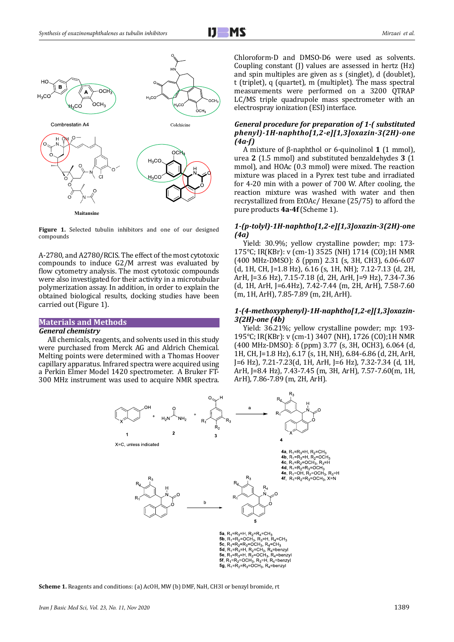

**Figure 1.** Selected tubulin inhibitors and one of our designed compounds

A-2780, and A2780/RCIS. The effect of the most cytotoxic compounds to induce G2/M arrest was evaluated by flow cytometry analysis. The most cytotoxic compounds were also investigated for their activity in a microtubular polymerization assay. In addition, in order to explain the obtained biological results, docking studies have been carried out (Figure 1).

# **Materials and Methods**

#### *General chemistry*

All chemicals, reagents, and solvents used in this study were purchased from Merck AG and Aldrich Chemical. Melting points were determined with a Thomas Hoover capillary apparatus. Infrared spectra were acquired using a Perkin Elmer Model 1420 spectrometer. A Bruker FT-300 MHz instrument was used to acquire NMR spectra. Chloroform-D and DMSO-D6 were used as solvents. Coupling constant (J) values are assessed in hertz (Hz) and spin multiples are given as s (singlet), d (doublet), t (triplet), q (quartet), m (multiplet). The mass spectral measurements were performed on a 3200 QTRAP LC/MS triple quadrupole mass spectrometer with an electrospray ionization (ESI) interface.

## *General procedure for preparation of 1-( substituted phenyl)-1H-naphtho[1,2-e][1,3]oxazin-3(2H)-one (4a-f)*

A mixture of β-naphthol or 6-quinolinol **1** (1 mmol), urea **2** (1.5 mmol) and substituted benzaldehydes **3** (1 mmol), and HOAc (0.3 mmol) were mixed. The reaction mixture was placed in a Pyrex test tube and irradiated for 4-20 min with a power of 700 W. After cooling, the reaction mixture was washed with water and then recrystallized from EtOAc/ Hexane (25/75) to afford the pure products **4a-4f** (Scheme 1).

# *1-(p-tolyl)-1H-naphtho[1,2-e][1,3]oxazin-3(2H)-one (4a)*

Yield: 30.9%; yellow crystalline powder; mp: 173- 175°C; IR(KBr): v (cm-1) 3525 (NH) 1714 (CO);1H NMR (400 MHz-DMSO): δ (ppm) 2.31 (s, 3H, CH3), 6.06-6.07 (d, 1H, CH, J=1.8 Hz), 6.16 (s, 1H, NH); 7.12-7.13 (d, 2H, ArH, J=3.6 Hz), 7.15-7.18 (d, 2H, ArH, J=9 Hz), 7.34-7.36 (d, 1H, ArH, J=6.4Hz), 7.42-7.44 (m, 2H, ArH), 7.58-7.60 (m, 1H, ArH), 7.85-7.89 (m, 2H, ArH).

#### *1-(4-methoxyphenyl)-1H-naphtho[1,2-e][1,3]oxazin-3(2H)-one (4b)*

Yield: 36.21%; yellow crystalline powder; mp: 193- 195°C; IR(KBr): v (cm-1) 3407 (NH), 1726 (CO);1H NMR (400 MHz-DMSO): δ (ppm) 3.77 (s, 3H, OCH3), 6.064 (d, 1H, CH, J=1.8 Hz), 6.17 (s, 1H, NH), 6.84-6.86 (d, 2H, ArH, J=6 Hz), 7.21-7.23(d, 1H, ArH, J=6 Hz), 7.32-7.34 (d, 1H, ArH, J=8.4 Hz), 7.43-7.45 (m, 3H, ArH), 7.57-7.60(m, 1H, ArH), 7.86-7.89 (m, 2H, ArH).



**Scheme 1.** Reagents and conditions: (a) AcOH, MW (b) DMF, NaH, CH3I or benzyl bromide, rt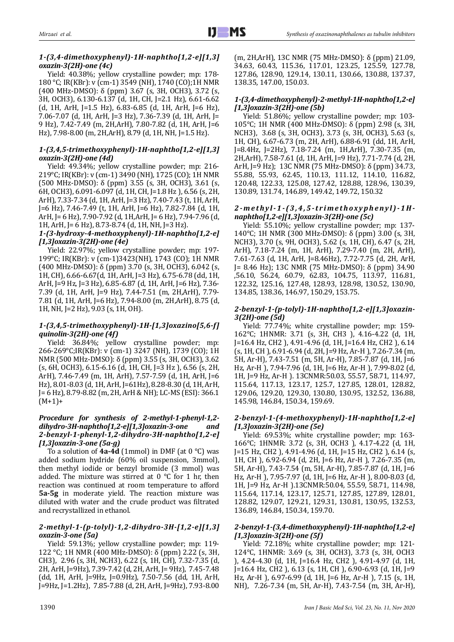# *1-(3,4-dimethoxyphenyl)-1H-naphtho[1,2-e][1,3] oxazin-3(2H)-one (4c)*

Yield: 40.38%; yellow crystalline powder; mp: 178- 180 °C; IR(KBr): v (cm-1) 3549 (NH), 1740 (CO);1H NMR (400 MHz-DMSO): δ (ppm) 3.67 (s, 3H, OCH3), 3.72 (s, 3H, OCH3), 6.130-6.137 (d, 1H, CH, J=2.1 Hz), 6.61-6.62 (d, 1H, ArH, J=1.5 Hz), 6.83-6.85 (d, 1H, ArH, J=6 Hz), 7.06-7.07 (d, 1H, ArH, J=3 Hz), 7.36-7.39 (d, 1H, ArH, J= 9 Hz), 7.42-7.49 (m, 2H,ArH), 7.80-7.82 (d, 1H, ArH, J=6 Hz), 7.98-8.00 (m, 2H,ArH), 8.79 (d, 1H, NH, J=1.5 Hz).

## *1-(3,4,5-trimethoxyphenyl)-1H-naphtho[1,2-e][1,3] oxazin-3(2H)-one (4d)*

Yield: 49.34%; yellow crystalline powder; mp: 216- 219°C; IR(KBr): v (cm-1) 3490 (NH), 1725 (CO); 1H NMR (500 MHz-DMSO): δ (ppm) 3.55 (s, 3H, OCH3), 3.61 (s, 6H, OCH3), 6.091-6.097 (d, 1H, CH, J=1.8 Hz ), 6.56 (s, 2H, ArH), 7.33-7.34 (d, 1H, ArH, J=3 Hz), 7.40-7.43 (t, 1H, ArH, J=6 Hz), 7.46-7.49 (t, 1H, ArH, J=6 Hz), 7.82-7.84 (d, 1H, ArH, J= 6 Hz), 7.90-7.92 (d, 1H,ArH, J= 6 Hz), 7.94-7.96 (d, 1H, ArH, J= 6 Hz), 8.73-8.74 (d, 1H, NH, J=3 Hz).

# *1-(3-hydroxy-4-methoxyphenyl)-1H-naphtho[1,2-e] [1,3]oxazin-3(2H)-one (4e)*

Yield: 22.97%; yellow crystalline powder; mp: 197- 199°C; IR(KBr): v (cm-1)3423(NH), 1743 (CO); 1H NMR (400 MHz-DMSO):  $\delta$  (ppm) 3.70 (s, 3H, OCH3), 6.042 (s, 1H, CH), 6.66-6.67(d, 1H, ArH, J=3 Hz), 6.75-6.78 (dd, 1H, ArH, J=9 Hz, J=3 Hz), 6.85-6.87 (d, 1H, ArH, J=6 Hz), 7.36- 7.39 (d, 1H, ArH, J=9 Hz), 7.44-7.51 (m, 2H,ArH), 7.79- 7.81 (d, 1H, ArH, J=6 Hz), 7.94-8.00 (m, 2H,ArH), 8.75 (d, 1H, NH, J=2 Hz), 9.03 (s, 1H, OH).

# *1-(3,4,5-trimethoxyphenyl)-1H-[1,3]oxazino[5,6-f] quinolin-3(2H)-one (4f)*

Yield: 36.84%; yellow crystalline powder; mp: 266-269°C;IR(KBr): v (cm-1) 3247 (NH), 1739 (CO); 1H NMR (500 MHz-DMSO): δ (ppm) 3.55 (s, 3H, OCH3), 3.62 (s, 6H, OCH3), 6.15-6.16 (d, 1H, CH, J=3 Hz ), 6.56 (s, 2H, ArH), 7.46-7.49 (m, 1H, ArH), 7.57-7.59 (d, 1H, ArH, J=6 Hz), 8.01-8.03 (d, 1H, ArH, J=61Hz), 8.28-8.30 (d, 1H, ArH, J= 6 Hz), 8.79-8.82 (m, 2H, ArH & NH); LC-MS (ESI): 366.1  $(M+1)+$ 

# *Procedure for synthesis of 2-methyl-1-phenyl-1,2 dihydro-3H-naphtho[1,2-e][1,3]oxazin-3-one and 2-benzyl-1-phenyl-1,2-dihydro-3H-naphtho[1,2-e] [1,3]oxazin-3-one (5a-g)*

To a solution of **4a-4d** (1mmol) in DMF (at 0 °C) was added sodium hydride (60% oil suspension, 3mmol), then methyl iodide or benzyl bromide (3 mmol) was added. The mixture was stirred at  $0^{\circ}$ C for 1 hr, then reaction was continued at room temperature to afford **5a-5g** in moderate yield. The reaction mixture was diluted with water and the crude product was filtrated and recrystallized in ethanol.

# *2-methyl-1-(p-tolyl)-1,2-dihydro-3H-[1,2-e][1,3] oxazin-3-one (5a)*

Yield: 59.13%; yellow crystalline powder; mp: 119- 122 °C; 1H NMR (400 MHz-DMSO): δ (ppm) 2.22 (s, 3H, CH3), 2.96 (s, 3H, NCH3), 6.22 (s, 1H, CH), 7.32-7.35 (d, 2H, ArH, J=9Hz), 7.39-7.42 (d, 2H, ArH, J= 9Hz), 7.45-7.48 (dd, 1H, ArH, J=9Hz, J=0.9Hz), 7.50-7.56 (dd, 1H, ArH, J=9Hz, J=1.2Hz), 7.85-7.88 (d, 2H, ArH, J=9Hz), 7.93-8.00 (m, 2H,ArH), 13C NMR (75 MHz-DMSO): δ (ppm) 21.09, 34.63, 60.43, 115.36, 117.01, 123.25, 125.59, 127.78, 127.86, 128.90, 129.14, 130.11, 130.66, 130.88, 137.37, 138.35, 147.00, 150.03.

# *1-(3,4-dimethoxyphenyl)-2-methyl-1H-naphtho[1,2-e] [1,3]oxazin-3(2H)-one (5b)*

Yield: 51.86%; yellow crystalline powder; mp: 103- 105°C; 1H NMR (400 MHz-DMSO): δ (ppm) 2.98 (s, 3H, NCH3), 3.68 (s, 3H, OCH3), 3.73 (s, 3H, OCH3), 5.63 (s, 1H, CH), 6.67-6.73 (m, 2H, ArH), 6.88-6.91 (dd, 1H, ArH, J=8.4Hz, J=2Hz), 7.18-7.24 (m, 1H,ArH), 7.30-7.35 (m, 2H,ArH), 7.58-7.61 (d, 1H, ArH, J=9 Hz), 7.71-7.74 (d, 2H, ArH, J=9 Hz); 13C NMR (75 MHz-DMSO): δ (ppm) 34.73, 55.88, 55.93, 62.45, 110.13, 111.12, 114.10, 116.82, 120.48, 122.33, 125.08, 127.42, 128.88, 128.96, 130.39, 130.89, 131.74, 146.89, 149.42, 149.72, 150.32

# *2-methyl-1-(3,4,5-trimethoxyphenyl)-1Hnaphtho[1,2-e][1,3]oxazin-3(2H)-one (5c)*

Yield: 55.10%; yellow crystalline powder; mp: 137- 140°C; 1H NMR (300 MHz-DMSO): δ (ppm) 3.00 (s, 3H, NCH3), 3.70 (s, 9H, OCH3), 5.62 (s, 1H, CH), 6.47 (s, 2H, ArH), 7.18-7.24 (m, 1H, ArH), 7.29-7.40 (m, 2H, ArH), 7.61-7.63 (d, 1H, ArH, J=8.46Hz), 7.72-7.75 (d, 2H, ArH, J= 8.46 Hz); 13C NMR (75 MHz-DMSO): δ (ppm) 34.90 ,56.10, 56.24, 60.79, 62.83, 104.75, 113.97, 116.81, 122.32, 125.16, 127.48, 128.93, 128.98, 130.52, 130.90, 134.85, 138.36, 146.97, 150.29, 153.75.

# *2-benzyl-1-(p-tolyl)-1H-naphtho[1,2-e][1,3]oxazin-3(2H)-one (5d)*

Yield: 77.74%; white crystalline powder; mp: 159- 162°C; 1HNMR: 3.71 (s, 3H, CH3 ), 4.16-4.22 (d, 1H, J=16.4 Hz, CH2 ), 4.91-4.96 (d, 1H, J=16.4 Hz, CH2 ), 6.14 (s, 1H, CH ), 6.91-6.94 (d, 2H, J=9 Hz, Ar-H ), 7.26-7.34 (m, 5H, Ar-H), 7.43-7.51 (m, 5H, Ar-H), 7.85-7.87 (d, 1H, J=6 Hz, Ar-H ), 7.94-7.96 (d, 1H, J=6 Hz, Ar-H ), 7.99-8.02 (d, 1H, J=9 Hz, Ar-H ). 13CNMR:50.03, 55.57, 58.71, 114.97, 115.64, 117.13, 123.17, 125.7, 127.85, 128.01, 128.82, 129.06, 129.20, 129.30, 130.80, 130.95, 132.52, 136.88, 145.98, 146.84, 150.34, 159.69.

# *2-benzyl-1-(4-methoxyphenyl)-1H-naphtho[1,2-e] [1,3]oxazin-3(2H)-one (5e)*

Yield: 69.53%; white crystalline powder; mp: 163- 166°C; 1HNMR: 3.72 (s, 3H, OCH3 ), 4.17-4.22 (d, 1H, J=15 Hz, CH2 ), 4.91-4.96 (d, 1H, J=15 Hz, CH2 ), 6.14 (s, 1H, CH ), 6.92-6.94 (d, 2H, J=6 Hz, Ar-H ), 7.26-7.35 (m, 5H, Ar-H), 7.43-7.54 (m, 5H, Ar-H), 7.85-7.87 (d, 1H, J=6 Hz, Ar-H ), 7.95-7.97 (d, 1H, J=6 Hz, Ar-H ), 8.00-8.03 (d, 1H, J=9 Hz, Ar-H ).13CNMR:50.04, 55.59, 58.71, 114.98, 115.64, 117.14, 123.17, 125.71, 127.85, 127.89, 128.01, 128.82, 129.07, 129.21, 129.31, 130.81, 130.95, 132.53, 136.89, 146.84, 150.34, 159.70.

# *2-benzyl-1-(3,4-dimethoxyphenyl)-1H-naphtho[1,2-e] [1,3]oxazin-3(2H)-one (5f)*

Yield: 72.18%; white crystalline powder; mp: 121- 124°C, 1HNMR: 3.69 (s, 3H, OCH3), 3.73 (s, 3H, OCH3 ), 4.24-4.30 (d, 1H, J=16.4 Hz, CH2 ), 4.91-4.97 (d, 1H, J=16.4 Hz, CH2 ), 6.13 (s, 1H, CH ), 6.90-6.93 (d, 1H, J=9 Hz, Ar-H ), 6.97-6.99 (d, 1H, J=6 Hz, Ar-H ), 7.15 (s, 1H, NH), 7.26-7.34 (m, 5H, Ar-H), 7.43-7.54 (m, 3H, Ar-H),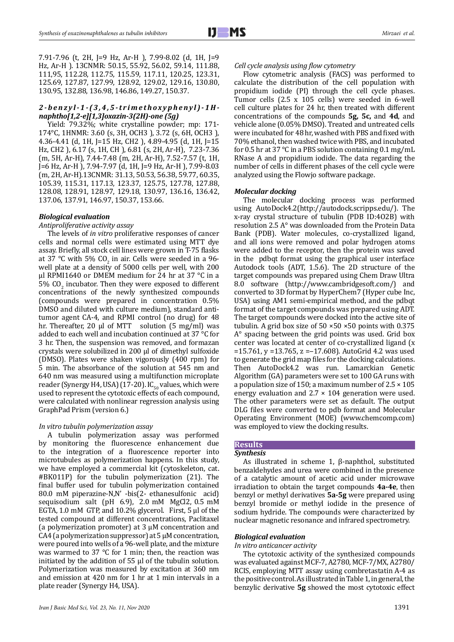7.91-7.96 (t, 2H, J=9 Hz, Ar-H ), 7.99-8.02 (d, 1H, J=9 Hz, Ar-H ). 13CNMR: 50.15, 55.92, 56.02, 59.14, 111.88, 111,95, 112.28, 112.75, 115.59, 117.11, 120.25, 123.31, 125.69, 127.87, 127.99, 128.92, 129.02, 129.16, 130.80, 130.95, 132.88, 136.98, 146.86, 149.27, 150.37.

## *2-benzyl-1-(3,4,5-trimethoxyphenyl)-1Hnaphtho[1,2-e][1,3]oxazin-3(2H)-one (5g)*

Yield: 79.32%; white crystalline powder; mp: 171- 174°C, 1HNMR: 3.60 (s, 3H, OCH3 ), 3.72 (s, 6H, OCH3 ), 4.36-4.41 (d, 1H, J=15 Hz, CH2 ), 4.89-4.95 (d, 1H, J=15 Hz, CH2 ), 6.17 (s, 1H, CH ), 6.81 (s, 2H, Ar-H), 7.23-7.36 (m, 5H, Ar-H), 7.44-7.48 (m, 2H, Ar-H), 7.52-7.57 (t, 1H, J=6 Hz, Ar-H ), 7.94-7.97 (d, 1H, J=9 Hz, Ar-H ), 7.99-8.03 (m, 2H, Ar-H).13CNMR: 31.13, 50.53, 56.38, 59.77, 60.35, 105.39, 115.31, 117.13, 123.37, 125.75, 127.78, 127.88, 128.08, 128.91, 128.97, 129.18, 130.97, 136.16, 136.42, 137.06, 137.91, 146.97, 150.37, 153.66.

## *Biological evaluation*

*Antiproliferative activity assay*

The levels of *in vitro* proliferative responses of cancer cells and normal cells were estimated using MTT dye assay. Briefly, all stock cell lines were grown in T-75 flasks at 37 °C with 5% CO<sub>2</sub> in air. Cells were seeded in a 96well plate at a density of 5000 cells per well, with 200 µl RPMI1640 or DMEM medium for 24 hr at 37 °C in a  $5\%$  CO<sub>2</sub> incubator. Then they were exposed to different concentrations of the newly synthesized compounds (compounds were prepared in concentration 0.5% DMSO and diluted with culture medium), standard antitumor agent CA-4, and RPMI control (no drug) for 48 hr. Thereafter, 20  $\mu$ l of MTT solution (5 mg/ml) was added to each well and incubation continued at 37 °C for 3 hr. Then, the suspension was removed, and formazan crystals were solubilized in 200 µl of dimethyl sulfoxide (DMSO). Plates were shaken vigorously (400 rpm) for 5 min. The absorbance of the solution at 545 nm and 640 nm was measured using a multifunction microplate reader (Synergy H4, USA) (17-20). IC<sub>50</sub> values, which were used to represent the cytotoxic effects of each compound, were calculated with nonlinear regression analysis using GraphPad Prism (version 6.)

#### *In vitro tubulin polymerization assay*

A tubulin polymerization assay was performed by monitoring the fluorescence enhancement due to the integration of a fluorescence reporter into microtubules as polymerization happens. In this study, we have employed a commercial kit (cytoskeleton, cat. #BK011P) for the tubulin polymerization (21). The final buffer used for tubulin polymerization contained 80.0 mM piperazine-N,N' -bis(2- ethanesulfonic acid) sequisodium salt (pH 6.9), 2.0 mM MgCl2, 0.5 mM EGTA, 1.0 mM GTP, and 10.2% glycerol. First, 5 µl of the tested compound at different concentrations, Paclitaxel (a polymerization promoter) at 3 µM concentration and CA4 (a polymerization suppressor) at  $5 \mu$ M concentration, were poured into wells of a 96-well plate, and the mixture was warmed to 37  $\degree$ C for 1 min; then, the reaction was initiated by the addition of 55 µl of the tubulin solution. Polymerization was measured by excitation at 360 nm and emission at 420 nm for 1 hr at 1 min intervals in a plate reader (Synergy H4, USA).

#### *Cell cycle analysis using flow cytometry*

Flow cytometric analysis (FACS) was performed to calculate the distribution of the cell population with propidium iodide (PI) through the cell cycle phases. Tumor cells (2.5 x 105 cells) were seeded in 6-well cell culture plates for 24 hr, then treated with different concentrations of the compounds **5g, 5c,** and **4d**, and vehicle alone (0.05% DMSO). Treated and untreated cells were incubated for 48 hr, washed with PBS and fixed with 70% ethanol, then washed twice with PBS, and incubated for 0.5 hr at 37 °C in a PBS solution containing 0.1 mg/mL RNase A and propidium iodide. The data regarding the number of cells in different phases of the cell cycle were analyzed using the Flowjo software package.

#### *Molecular docking*

The molecular docking process was performed using AutoDock4.2(http://autodock.scripps.edu/). The x-ray crystal structure of tubulin (PDB ID:4O2B) with resolution 2.5 A° was downloaded from the Protein Data Bank (PDB). Water molecules, co-crystallized ligand, and all ions were removed and polar hydrogen atoms were added to the receptor, then the protein was saved in the pdbqt format using the graphical user interface Autodock tools (ADT, 1.5.6). The 2D structure of the target compounds was prepared using Chem Draw Ultra 8.0 software (http://www.cambridgesoft.com/) and converted to 3D format by HyperChem7 (Hyper cube Inc, USA) using AM1 semi-empirical method, and the pdbqt format of the target compounds was prepared using ADT. The target compounds were docked into the active site of tubulin. A grid box size of  $50 \times 50 \times 50$  points with 0.375 A° spacing between the grid points was used. Grid box center was located at center of co-crystallized ligand (x  $=15.761$ , y  $=13.765$ , z  $=-17.608$ ). AutoGrid 4.2 was used to generate the grid map files for the docking calculations. Then AutoDock4.2 was run. Lamarckian Genetic Algorithm (GA) parameters were set to 100 GA runs with a population size of 150; a maximum number of  $2.5 \times 105$ energy evaluation and  $2.7 \times 104$  generation were used. The other parameters were set as default. The output DLG files were converted to pdb format and Molecular Operating Environment (MOE) (www.chemcomp.com) was employed to view the docking results.

# **Results**

# *Synthesis*

As illustrated in scheme 1, β-naphthol, substituted benzaldehydes and urea were combined in the presence of a catalytic amount of acetic acid under microwave irradiation to obtain the target compounds **4a-4e**, then benzyl or methyl derivatives **5a-5g** were prepared using benzyl bromide or methyl iodide in the presence of sodium hydride. The compounds were characterized by nuclear magnetic resonance and infrared spectrometry.

#### *Biological evaluation*

*In vitro anticancer activity*

The cytotoxic activity of the synthesized compounds was evaluated against MCF-7, A2780, MCF-7/MX, A2780/ RCIS, employing MTT assay using combretastatin A-4 as the positive control. As illustrated in Table 1, in general, the benzylic derivative **5g** showed the most cytotoxic effect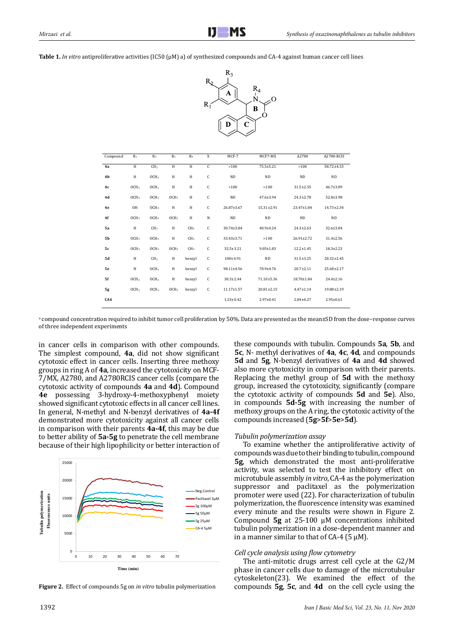**Table 1.** *In vitro* antiproliferative activities (IC50 (µM) a) of synthesized compounds and CA-4 against human cancer cell lines



| Compound       | $R_1$            | R <sub>2</sub>   | $R_3$            | R <sub>4</sub>  | X | $MCF-7$          | MCF7-MX          | A2780            | A2780-RCIS       |
|----------------|------------------|------------------|------------------|-----------------|---|------------------|------------------|------------------|------------------|
| 4a             | H                | CH <sub>3</sub>  | H                | H               | C | >100             | 75.5±5.21        | >100             | 58.72±4.33       |
| 4 <sub>b</sub> | H                | OCH <sub>3</sub> | H                | H               | C | <b>ND</b>        | <b>ND</b>        | <b>ND</b>        | <b>ND</b>        |
| 4c             | OCH <sub>3</sub> | OCH <sub>3</sub> | H                | H               | C | >100             | >100             | $31.5 \pm 2.35$  | $46.7 \pm 3.89$  |
| 4d             | OCH <sub>3</sub> | OCH <sub>3</sub> | OCH <sub>3</sub> | H               | C | <b>ND</b>        | $47.6 \pm 3.94$  | $24.3 \pm 2.78$  | $52.8 \pm 3.98$  |
| 4e             | OH               | OCH <sub>3</sub> | H                | H               | C | $26.87 \pm 3.67$ | $15.31 \pm 2.91$ | 23.47±1.84       | $14.73 \pm 2.34$ |
| 4f             | OCH <sub>3</sub> | OCH <sub>3</sub> | OCH <sub>3</sub> | H               | N | <b>ND</b>        | <b>ND</b>        | <b>ND</b>        | <b>ND</b>        |
| 5a             | H                | CH <sub>3</sub>  | H                | CH <sub>3</sub> | C | 30.74±3.84       | 40.9±4.24        | $24.3 \pm 2.63$  | 32.6±3.84        |
| 5b             | OCH <sub>3</sub> | OCH <sub>3</sub> | H                | CH <sub>3</sub> | C | 33.43±3.71       | >100             | $26.91 \pm 2.72$ | $31.4 \pm 2.56$  |
| 5c             | OCH <sub>3</sub> | OCH <sub>3</sub> | OCH <sub>3</sub> | CH <sub>3</sub> | C | $32.5 \pm 3.21$  | $9.05 \pm 1.83$  | $12.2 \pm 1.45$  | $18.3 \pm 2.23$  |
| 5d             | H                | CH <sub>3</sub>  | H                | benzyl          | C | $100 + 4.91$     | <b>ND</b>        | $31.5 \pm 3.25$  | $28.32 \pm 2.45$ |
| 5e             | H                | OCH <sub>3</sub> | H                | benzyl          | C | 98.11±4.56       | 70.9±4.76        | $20.7 \pm 2.11$  | 25.68±2.17       |
| 5f             | OCH <sub>3</sub> | OCH <sub>3</sub> | H                | benzyl          | C | $30.3 \pm 2.44$  | 71.10±5.36       | 18.70±1.84       | $24.4 \pm 2.16$  |
| 5g             | OCH <sub>3</sub> | OCH <sub>3</sub> | OCH <sub>3</sub> | benzyl          | C | $11.17 \pm 1.57$ | $20.81 \pm 2.15$ | $4.47 \pm 1.14$  | 19.88±2.19       |
| CA4            |                  |                  |                  |                 |   | $1.23 \pm 0.42$  | $2.97 \pm 0.41$  | $2.84 \pm 0.27$  | $2.95 \pm 0.61$  |

a compound concentration required to inhibit tumor cell proliferation by 50%. Data are presented as the mean±SD from the dose−response curves of three independent experiments

in cancer cells in comparison with other compounds. The simplest compound, **4a**, did not show significant cytotoxic effect in cancer cells. Inserting three methoxy groups in ring A of **4a**, increased the cytotoxicity on MCF-7/MX, A2780, and A2780RCIS cancer cells (compare the cytotoxic activity of compounds **4a** and **4d**). Compound **4e** possessing 3-hydroxy-4-methoxyphenyl moiety showed significant cytotoxic effects in all cancer cell lines. In general, N-methyl and N-benzyl derivatives of **4a-4f**  demonstrated more cytotoxicity against all cancer cells in comparison with their parents **4a-4f**, this may be due to better ability of **5a-5g** to penetrate the cell membrane because of their high lipophilicity or better interaction of



**Figure 2.** Effect of compounds 5g on *in vitro* tubulin polymerization

these compounds with tubulin. Compounds **5a**, **5b**, and **5c**, N- methyl derivatives of **4a**, **4c**, **4d**, and compounds **5d** and **5g**, N-benzyl derivatives of **4a** and **4d** showed also more cytotoxicity in comparison with their parents. Replacing the methyl group of **5d** with the methoxy group, increased the cytotoxicity, significantly (compare the cytotoxic activity of compounds **5d** and **5e**). Also, in compounds **5d-5g** with increasing the number of methoxy groups on the A ring, the cytotoxic activity of the compounds increased (**5g**>**5f**>**5e**>**5d**).

#### *Tubulin polymerization assay*

To examine whether the antiproliferative activity of compounds was due to their binding to tubulin, compound **5g**, which demonstrated the most anti-proliferative activity, was selected to test the inhibitory effect on microtubule assembly *in vitro*, CA-4 as the polymerization suppressor and paclitaxel as the polymerization promoter were used (22). For characterization of tubulin polymerization, the fluorescence intensity was examined every minute and the results were shown in Figure 2. Compound **5g** at 25-100 µM concentrations inhibited tubulin polymerization in a dose-dependent manner and in a manner similar to that of CA-4 ( $\overline{5}$   $\mu$ M).

#### *Cell cycle analysis using flow cytometry*

The anti-mitotic drugs arrest cell cycle at the G2/M phase in cancer cells due to damage of the microtubular cytoskeleton(23). We examined the effect of the compounds **5g**, **5c**, and **4d** on the cell cycle using the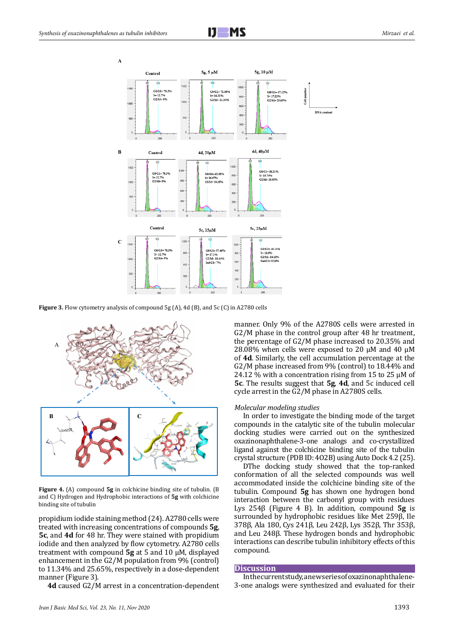



**Figure 3.** Flow cytometry analysis of compound 5g (A), 4d (B), and 5c (C) in A2780 cells



**Figure 4.** (A) compound **5g** in colchicine binding site of tubulin. (B and C) Hydrogen and Hydrophobic interactions of **5g** with colchicine binding site of tubulin

propidium iodide staining method (24). A2780 cells were treated with increasing concentrations of compounds **5g**, **5c**, and **4d** for 48 hr. They were stained with propidium iodide and then analyzed by flow cytometry. A2780 cells treatment with compound **5g** at 5 and 10 µM, displayed enhancement in the G2/M population from 9% (control) to 11.34% and 25.65%, respectively in a dose-dependent manner (Figure 3).

**4d** caused G2/M arrest in a concentration-dependent

manner. Only 9% of the A2780S cells were arrested in G2/M phase in the control group after 48 hr treatment, the percentage of G2/M phase increased to 20.35% and 28.08% when cells were exposed to 20  $\mu$ M and 40  $\mu$ M of **4d**. Similarly, the cell accumulation percentage at the G2/M phase increased from 9% (control) to 18.44% and 24.12 % with a concentration rising from 15 to 25  $\mu$ M of **5c**. The results suggest that **5g**, **4d**, and 5c induced cell cycle arrest in the G2/M phase in A2780S cells.

#### *Molecular modeling studies*

In order to investigate the binding mode of the target compounds in the catalytic site of the tubulin molecular docking studies were carried out on the synthesized oxazinonaphthalene-3-one analogs and co-crystallized ligand against the colchicine binding site of the tubulin crystal structure (PDB ID: 4O2B) using Auto Dock 4.2 (25).

DThe docking study showed that the top-ranked conformation of all the selected compounds was well accommodated inside the colchicine binding site of the tubulin. Compound **5g** has shown one hydrogen bond interaction between the carbonyl group with residues Lys 254β (Figure 4 B). In addition, compound **5g** is surrounded by hydrophobic residues like Met 259β, Ile 378β, Ala 180, Cys 241β, Leu 242β, Lys 352β, Thr 353β, and Leu 248β. These hydrogen bonds and hydrophobic interactions can describe tubulin inhibitory effects of this compound.

#### **Discussion**

In the current study, a new series of oxazinonaphthalene-3-one analogs were synthesized and evaluated for their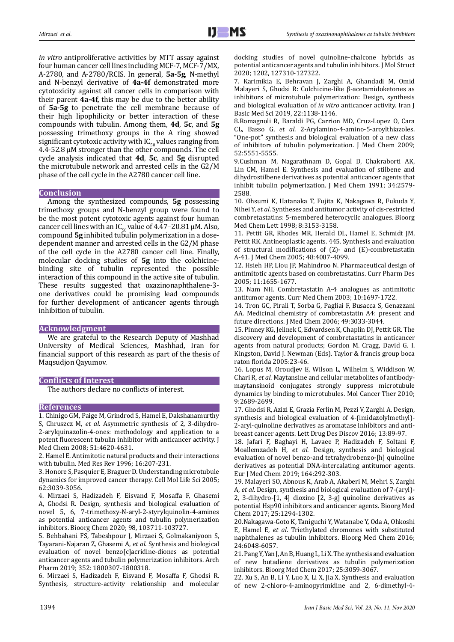*in vitro* antiproliferative activities by MTT assay against four human cancer cell lines including MCF-7, MCF-7/MX, A-2780, and A-2780/RCIS. In general, **5a-5g**, N-methyl and N-benzyl derivative of **4a-4f** demonstrated more cytotoxicity against all cancer cells in comparison with their parent **4a-4f**, this may be due to the better ability of **5a-5g** to penetrate the cell membrane because of their high lipophilicity or better interaction of these compounds with tubulin. Among them, **4d**, **5c**, and **5g** possessing trimethoxy groups in the A ring showed significant cytotoxic activity with  $IC_{50}$  values ranging from 4.4-52.8 μM stronger than the other compounds. The cell cycle analysis indicated that **4d**, **5c**, and **5g** disrupted the microtubule network and arrested cells in the G2/M phase of the cell cycle in the A2780 cancer cell line.

## **Conclusion**

Among the synthesized compounds, **5g** possessing trimethoxy groups and N-benzyl group were found to be the most potent cytotoxic agents against four human cancer cell lines with an  $IC_{50}$  value of 4.47–20.81 µM. Also, compound **5g** inhibited tubulin polymerization in a dosedependent manner and arrested cells in the G2/M phase of the cell cycle in the A2780 cancer cell line. Finally, molecular docking studies of **5g** into the colchicinebinding site of tubulin represented the possible interaction of this compound in the active site of tubulin. These results suggested that oxazinonaphthalene-3 one derivatives could be promising lead compounds for further development of anticancer agents through inhibition of tubulin.

## **Acknowledgment**

We are grateful to the Research Deputy of Mashhad University of Medical Sciences, Mashhad, Iran for financial support of this research as part of the thesis of Maqsudjon Qayumov.

## **Conflicts of Interest**

The authors declare no conflicts of interest.

## **References**

1. Chinigo GM, Paige M, Grindrod S, Hamel E, Dakshanamurthy S, Chruszcz M, *et al*. Asymmetric synthesis of 2, 3-dihydro-2-arylquinazolin-4-ones: methodology and application to a potent fluorescent tubulin inhibitor with anticancer activity. J Med Chem 2008; 51:4620-4631.

2. Hamel E. Antimitotic natural products and their interactions with tubulin. Med Res Rev 1996; 16:207-231.

3. Honore S, Pasquier E, Braguer D. Understanding microtubule dynamics for improved cancer therapy. Cell Mol Life Sci 2005; 62:3039-3056.

4. Mirzaei S, Hadizadeh F, Eisvand F, Mosaffa F, Ghasemi A, Ghodsi R. Design, synthesis and biological evaluation of novel 5, 6, 7-trimethoxy-N-aryl-2-styrylquinolin-4-amines as potential anticancer agents and tubulin polymerization inhibitors. Bioorg Chem 2020; 98, 103711-103727.

5. Behbahani FS, Tabeshpour J, Mirzaei S, Golmakaniyoon S, Tayarani-Najaran Z, Ghasemi A, *et al*. Synthesis and biological evaluation of novel benzo[c]acridine-diones as potential anticancer agents and tubulin polymerization inhibitors. Arch Pharm 2019; 352: 1800307-1800318.

6. Mirzaei S, Hadizadeh F, Eisvand F, Mosaffa F, Ghodsi R. Synthesis, structure-activity relationship and molecular docking studies of novel quinoline-chalcone hybrids as potential anticancer agents and tubulin inhibitors. J Mol Struct 2020; 1202, 127310-127322.

7. Karimikia E, Behravan J, Zarghi A, Ghandadi M, Omid Malayeri S, Ghodsi R: Colchicine-like β-acetamidoketones as inhibitors of microtubule polymerization: Design, synthesis and biological evaluation of *in vitro* anticancer activity. Iran J Basic Med Sci 2019, 22:1138-1146.

8.Romagnoli R, Baraldi PG, Carrion MD, Cruz-Lopez O, Cara CL, Basso G, *et al*. 2-Arylamino-4-amino-5-aroylthiazoles. "One-pot" synthesis and biological evaluation of a new class of inhibitors of tubulin polymerization. J Med Chem 2009; 52:5551-5555.

9.Cushman M, Nagarathnam D, Gopal D, Chakraborti AK, Lin CM, Hamel E. Synthesis and evaluation of stilbene and dihydrostilbene derivatives as potential anticancer agents that inhibit tubulin polymerization. J Med Chem 1991; 34:2579- 2588.

10. Ohsumi K, Hatanaka T, Fujita K, Nakagawa R, Fukuda Y, Nihei Y, *et al*. Syntheses and antitumor activity of cis-restricted combretastatins: 5-membered heterocyclic analogues. Bioorg Med Chem Lett 1998; 8:3153-3158.

11. Pettit GR, Rhodes MR, Herald DL, Hamel E, Schmidt JM, Pettit RK. Antineoplastic agents. 445. Synthesis and evaluation of structural modifications of (Z)- and (E)-combretastatin A-41. J Med Chem 2005; 48:4087-4099.

12. Hsieh HP, Liou JP, Mahindroo N. Pharmaceutical design of antimitotic agents based on combretastatins. Curr Pharm Des 2005; 11:1655-1677.

13. Nam NH. Combretastatin A-4 analogues as antimitotic antitumor agents. Curr Med Chem 2003; 10:1697-1722.

14. Tron GC, Pirali T, Sorba G, Pagliai F, Busacca S, Genazzani AA. Medicinal chemistry of combretastatin A4: present and future directions. J Med Chem 2006; 49:3033-3044.

15. Pinney KG, Jelinek C, Edvardsen K, Chaplin DJ, Pettit GR. The discovery and development of combretastatins in anticancer agents from natural products; Gordon M. Cragg, David G. I. Kingston, David J. Newman (Eds). Taylor & francis group boca raton florida 2005:23-46.

16. Lopus M, Oroudjev E, Wilson L, Wilhelm S, Widdison W, Chari R, *et al*. Maytansine and cellular metabolites of antibodymaytansinoid conjugates strongly suppress microtubule dynamics by binding to microtubules. Mol Cancer Ther 2010; 9:2689-2699.

17. Ghodsi R, Azizi E, Grazia Ferlin M, Pezzi V, Zarghi A. Design, synthesis and biological evaluation of 4-(imidazolylmethyl)- 2-aryl-quinoline derivatives as aromatase inhibitors and antibreast cancer agents. Lett Drug Des Discov 2016; 13:89-97.

18. Jafari F, Baghayi H, Lavaee P, Hadizadeh F, Soltani F, Moallemzadeh H, *et al*. Design, synthesis and biological evaluation of novel benzo-and tetrahydrobenzo-[h] quinoline derivatives as potential DNA-intercalating antitumor agents. Eur J Med Chem 2019; 164:292-303.

19. Malayeri SO, Abnous K, Arab A, Akaberi M, Mehri S, Zarghi A, *et al*. Design, synthesis and biological evaluation of 7-(aryl)- 2, 3-dihydro-[1, 4] dioxino [2, 3-g] quinoline derivatives as potential Hsp90 inhibitors and anticancer agents. Bioorg Med Chem 2017; 25:1294-1302.

20.Nakagawa-Goto K, Taniguchi Y, Watanabe Y, Oda A, Ohkoshi E, Hamel E, *et al*. Triethylated chromones with substituted naphthalenes as tubulin inhibitors. Bioorg Med Chem 2016; 24:6048-6057.

21. Pang Y, Yan J, An B, Huang L, Li X. The synthesis and evaluation of new butadiene derivatives as tubulin polymerization inhibitors. Bioorg Med Chem 2017; 25:3059-3067.

22. Xu S, An B, Li Y, Luo X, Li X, Jia X. Synthesis and evaluation of new 2-chloro-4-aminopyrimidine and 2, 6-dimethyl-4